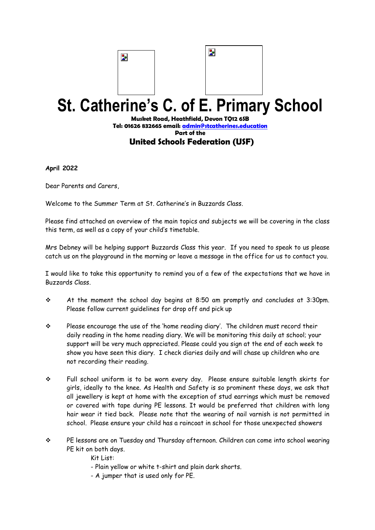## Þ



## **St. Catherine's C. of E. Primary School**

**Musket Road, Heathfield, Devon TQ12 6SB [Tel: 01626](tel:01626) 832665 email: [admin@stcatherines.education](mailto:admin@stcatherines.education) Part of the United Schools Federation (USF)** 

**April 2022**

Dear Parents and Carers,

Welcome to the Summer Term at St. Catherine's in Buzzards Class.

Please find attached an overview of the main topics and subjects we will be covering in the class this term, as well as a copy of your child's timetable.

Mrs Debney will be helping support Buzzards Class this year. If you need to speak to us please catch us on the playground in the morning or leave a message in the office for us to contact you.

I would like to take this opportunity to remind you of a few of the expectations that we have in Buzzards Class.

- ❖ At the moment the school day begins at 8:50 am promptly and concludes at 3:30pm. Please follow current guidelines for drop off and pick up
- ❖ Please encourage the use of the 'home reading diary'. The children *must* record their daily reading in the home reading diary. We will be monitoring this daily at school; your support will be very much appreciated. Please could you sign at the end of each week to show you have seen this diary. I check diaries daily and will chase up children who are not recording their reading.
- ❖ Full school uniform is to be worn every day. Please ensure suitable length skirts for girls, ideally to the knee. As Health and Safety is so prominent these days, we ask that all jewellery is kept at home with the exception of stud earrings which must be removed or covered with tape during PE lessons. It would be preferred that children with long hair wear it tied back. Please note that the wearing of nail varnish is not permitted in school. Please ensure your child has a raincoat in school for those unexpected showers
- ❖ PE lessons are on Tuesday and Thursday afternoon. Children can come into school wearing PE kit on both days.
	- Kit List:
	- Plain yellow or white t-shirt and plain dark shorts.
	- A jumper that is used only for PE.